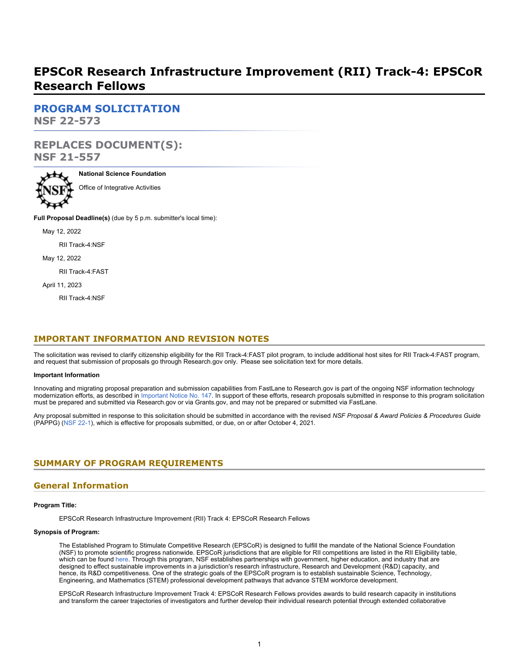# **EPSCoR Research Infrastructure Improvement (RII) Track-4: EPSCoR Research Fellows**

**[PROGRAM SOLICITATION](#page-4-0) NSF 22-573**

**REPLACES DOCUMENT(S): NSF 21-557**

**National Science Foundation**

Office of Integrative Activities

**Full Proposal Deadline(s)** (due by 5 p.m. submitter's local time):

May 12, 2022

RII Track-4:NSF

May 12, 2022

RII Track-4:FAST

April 11, 2023

RII Track-4:NSF

# **IMPORTANT INFORMATION AND REVISION NOTES**

The solicitation was revised to clarify citizenship eligibility for the RII Track-4:FAST pilot program, to include additional host sites for RII Track-4:FAST program, and request that submission of proposals go through Research.gov only. Please see solicitation text for more details.

#### **Important Information**

Innovating and migrating proposal preparation and submission capabilities from FastLane to Research.gov is part of the ongoing NSF information technology modernization efforts, as described in [Important Notice No. 147](https://www.nsf.gov/publications/pub_summ.jsp?ods_key=in147). In support of these efforts, research proposals submitted in response to this program solicitation must be prepared and submitted via Research.gov or via Grants.gov, and may not be prepared or submitted via FastLane.

Any proposal submitted in response to this solicitation should be submitted in accordance with the revised *NSF Proposal & Award Policies & Procedures Guide* (PAPPG) [\(NSF 22-1](https://www.nsf.gov/publications/pub_summ.jsp?ods_key=nsf22001&org=NSF)), which is effective for proposals submitted, or due, on or after October 4, 2021.

# <span id="page-0-0"></span>**SUMMARY OF PROGRAM REQUIREMENTS**

# **General Information**

#### **Program Title:**

EPSCoR Research Infrastructure Improvement (RII) Track 4: EPSCoR Research Fellows

#### **Synopsis of Program:**

The Established Program to Stimulate Competitive Research (EPSCoR) is designed to fulfill the mandate of the National Science Foundation (NSF) to promote scientific progress nationwide. EPSCoR jurisdictions that are eligible for RII competitions are listed in the RII Eligibility table, which can be found [here](https://www.nsf.gov/od/oia/programs/epscor/Eligibility_Tables/FY2022_Eligibility.pdf). Through this program, NSF establishes partnerships with government, higher education, and industry that are designed to effect sustainable improvements in a jurisdiction's research infrastructure, Research and Development (R&D) capacity, and hence, its R&D competitiveness. One of the strategic goals of the EPSCoR program is to establish sustainable Science, Technology, Engineering, and Mathematics (STEM) professional development pathways that advance STEM workforce development.

EPSCoR Research Infrastructure Improvement Track 4: EPSCoR Research Fellows provides awards to build research capacity in institutions and transform the career trajectories of investigators and further develop their individual research potential through extended collaborative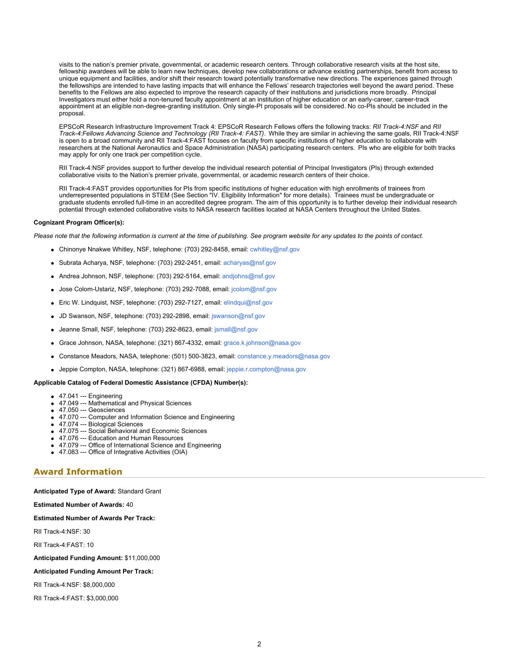visits to the nation's premier private, governmental, or academic research centers. Through collaborative research visits at the host site, fellowship awardees will be able to learn new techniques, develop new collaborations or advance existing partnerships, benefit from access to unique equipment and facilities, and/or shift their research toward potentially transformative new directions. The experiences gained through the fellowships are intended to have lasting impacts that will enhance the Fellows' research trajectories well beyond the award period. These benefits to the Fellows are also expected to improve the research capacity of their institutions and jurisdictions more broadly. Principal Investigators must either hold a non-tenured faculty appointment at an institution of higher education or an early-career, career-track appointment at an eligible non-degree-granting institution. Only single-PI proposals will be considered. No co-PIs should be included in the proposal.

EPSCoR Research Infrastructure Improvement Track 4: EPSCoR Research Fellows offers the following tracks: *RII Track-4:NSF* and *RII Track-4:Fellows Advancing Science and Technology (RII Track-4: FAST)*. While they are similar in achieving the same goals, RII Track-4:NSF is open to a broad community and RII Track-4:FAST focuses on faculty from specific institutions of higher education to collaborate with researchers at the National Aeronautics and Space Administration (NASA) participating research centers. PIs who are eligible for both tracks may apply for only one track per competition cycle.

RII Track-4:NSF provides support to further develop the individual research potential of Principal Investigators (PIs) through extended collaborative visits to the Nation's premier private, governmental, or academic research centers of their choice.

RII Track-4:FAST provides opportunities for PIs from specific institutions of higher education with high enrollments of trainees from underrepresented populations in STEM (See Section "IV. Eligibility Information" for more details). Trainees must be undergraduate or graduate students enrolled full-time in an accredited degree program. The aim of this opportunity is to further develop their individual research potential through extended collaborative visits to NASA research facilities located at NASA Centers throughout the United States.

#### **Cognizant Program Officer(s):**

*Please note that the following information is current at the time of publishing. See program website for any updates to the points of contact.*

- Chinonye Nnakwe Whitley, NSF, telephone: (703) 292-8458, email: [cwhitley@nsf.gov](mailto:cwhitley@nsf.gov)
- Subrata Acharya, NSF, telephone: (703) 292-2451, email: [acharyas@nsf.gov](mailto:acharyas@nsf.gov)
- Andrea Johnson, NSF, telephone: (703) 292-5164, email: [andjohns@nsf.gov](mailto:andjohns@nsf.gov)
- Jose Colom-Ustariz, NSF, telephone: (703) 292-7088, email: [jcolom@nsf.gov](mailto:jcolom@nsf.gov)
- Eric W. Lindquist, NSF, telephone: (703) 292-7127, email: [elindqui@nsf.gov](mailto:elindqui@nsf.gov)
- JD Swanson, NSF, telephone: (703) 292-2898, email: [jswanson@nsf.gov](mailto:jswanson@nsf.gov)
- Jeanne Small, NSF, telephone: (703) 292-8623, email: [jsmall@nsf.gov](mailto:jsmall@nsf.gov)
- Grace Johnson, NASA, telephone: (321) 867-4332, email: [grace.k.johnson@nasa.gov](mailto:grace.k.johnson@nasa.gov)
- Constance Meadors, NASA, telephone: (501) 500-3823, email: [constance.y.meadors@nasa.gov](mailto:constance.y.meadors@nasa.gov)
- Jeppie Compton, NASA, telephone: (321) 867-6988, email: [jeppie.r.compton@nasa.gov](mailto:jeppie.r.compton@nasa.gov)

#### **Applicable Catalog of Federal Domestic Assistance (CFDA) Number(s):**

- 47.041 --- Engineering
- 47.049 --- Mathematical and Physical Sciences
- 47.050 --- Geosciences
- 47.070 --- Computer and Information Science and Engineering
- 47.074 --- Biological Sciences
- 47.075 --- Social Behavioral and Economic Sciences 47.076 --- Education and Human Resources
- 47.079 --- Office of International Science and Engineering
- 47.083 --- Office of Integrative Activities (OIA)

### **Award Information**

**Anticipated Type of Award:** Standard Grant

**Estimated Number of Awards:** 40

**Estimated Number of Awards Per Track:**

RII Track-4:NSF: 30

RII Track-4:FAST: 10

**Anticipated Funding Amount:** \$11,000,000

**Anticipated Funding Amount Per Track:**

RII Track-4:NSF: \$8,000,000

RII Track-4:FAST: \$3,000,000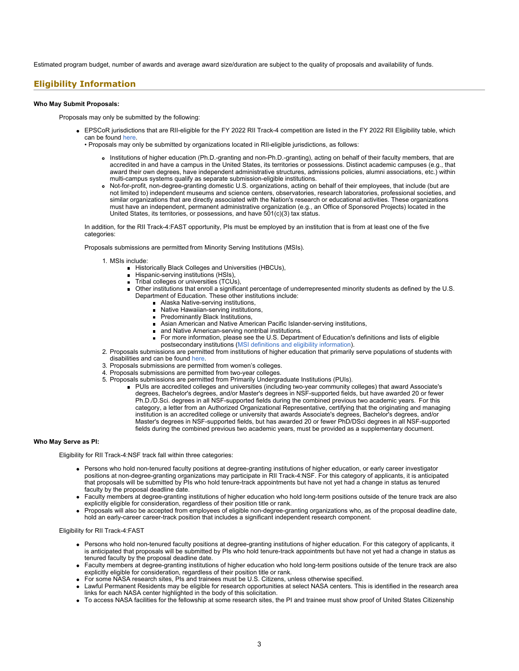Estimated program budget, number of awards and average award size/duration are subject to the quality of proposals and availability of funds.

# **Eligibility Information**

#### **Who May Submit Proposals:**

Proposals may only be submitted by the following:

- EPSCoR jurisdictions that are RII-eligible for the FY 2022 RII Track-4 competition are listed in the FY 2022 RII Eligibility table, which can be found [here](https://www.nsf.gov/od/oia/programs/epscor/Eligibility_Tables/FY2022_Eligibility.pdf).
	- Proposals may only be submitted by organizations located in RII-eligible jurisdictions, as follows:
		- Institutions of higher education (Ph.D.-granting and non-Ph.D.-granting), acting on behalf of their faculty members, that are accredited in and have a campus in the United States, its territories or possessions. Distinct academic campuses (e.g., that award their own degrees, have independent administrative structures, admissions policies, alumni associations, etc.) within multi-campus systems qualify as separate submission-eligible institutions.
		- Not-for-profit, non-degree-granting domestic U.S. organizations, acting on behalf of their employees, that include (but are not limited to) independent museums and science centers, observatories, research laboratories, professional societies, and similar organizations that are directly associated with the Nation's research or educational activities. These organizations must have an independent, permanent administrative organization (e.g., an Office of Sponsored Projects) located in the United States, its territories, or possessions, and have 501(c)(3) tax status.

In addition, for the RII Track-4:FAST opportunity, PIs must be employed by an institution that is from at least one of the five categories:

Proposals submissions are permitted from Minority Serving Institutions (MSIs).

1. MSIs include:

- **Historically Black Colleges and Universities (HBCUs),**
- Hispanic-serving institutions (HSIs),
- Tribal colleges or universities (TCUs),
- Other institutions that enroll a significant percentage of underrepresented minority students as defined by the U.S. Department of Education. These other institutions include:
	- **Alaska Native-serving institutions,**
	- Native Hawaiian-serving institutions,
	- **Predominantly Black Institutions,**
	- Asian American and Native American Pacific Islander-serving institutions,
	- and Native American-serving nontribal institutions.
	- For more information, please see the U.S. Department of Education's definitions and lists of eligible postsecondary institutions ([MSI definitions and eligibility information](https://www2.ed.gov/about/offices/list/ocr/edlite-minorityinst.html)).
- 2. Proposals submissions are permitted from institutions of higher education that primarily serve populations of students with disabilities and can be found [here](https://www.nsf.gov/od/broadeningparticipation/nsf_frameworkforaction_0808.pdf).
- 3. Proposals submissions are permitted from women's colleges.
- 4. Proposals submissions are permitted from two-year colleges.
- 5. Proposals submissions are permitted from Primarily Undergraduate Institutions (PUIs).
	- PUIs are accredited colleges and universities (including two-year community colleges) that award Associate's degrees, Bachelor's degrees, and/or Master's degrees in NSF-supported fields, but have awarded 20 or fewer Ph.D./D.Sci. degrees in all NSF-supported fields during the combined previous two academic years. For this category, a letter from an Authorized Organizational Representative, certifying that the originating and managing institution is an accredited college or university that awards Associate's degrees, Bachelor's degrees, and/or Master's degrees in NSF-supported fields, but has awarded 20 or fewer PhD/DSci degrees in all NSF-supported fields during the combined previous two academic years, must be provided as a supplementary document.

#### **Who May Serve as PI:**

Eligibility for RII Track-4:NSF track fall within three categories:

- Persons who hold non-tenured faculty positions at degree-granting institutions of higher education, or early career investigator positions at non-degree-granting organizations may participate in RII Track-4:NSF. For this category of applicants, it is anticipated that proposals will be submitted by PIs who hold tenure-track appointments but have not yet had a change in status as tenured faculty by the proposal deadline date.
- Faculty members at degree-granting institutions of higher education who hold long-term positions outside of the tenure track are also explicitly eligible for consideration, regardless of their position title or rank.
- Proposals will also be accepted from employees of eligible non-degree-granting organizations who, as of the proposal deadline date, hold an early-career career-track position that includes a significant independent research component.

Eligibility for RII Track-4:FAST

- Persons who hold non-tenured faculty positions at degree-granting institutions of higher education. For this category of applicants, it is anticipated that proposals will be submitted by PIs who hold tenure-track appointments but have not yet had a change in status as tenured faculty by the proposal deadline date.
- Faculty members at degree-granting institutions of higher education who hold long-term positions outside of the tenure track are also explicitly eligible for consideration, regardless of their position title or rank.
- For some NASA research sites, PIs and trainees must be U.S. Citizens, unless otherwise specified.
- Lawful Permanent Residents may be eligible for research opportunities at select NASA centers. This is identified in the research area links for each NASA center highlighted in the body of this solicitation.
- To access NASA facilities for the fellowship at some research sites, the PI and trainee must show proof of United States Citizenship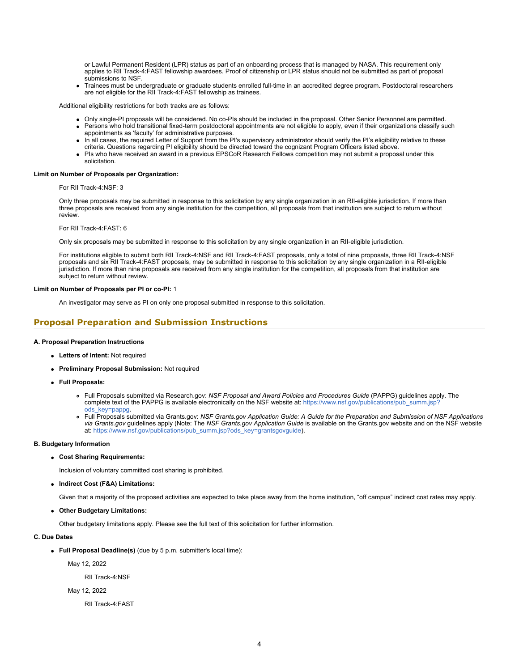or Lawful Permanent Resident (LPR) status as part of an onboarding process that is managed by NASA. This requirement only applies to RII Track-4:FAST fellowship awardees. Proof of citizenship or LPR status should not be submitted as part of proposal submissions to NSF.

Trainees must be undergraduate or graduate students enrolled full-time in an accredited degree program. Postdoctoral researchers are not eligible for the RII Track-4:FAST fellowship as trainees.

Additional eligibility restrictions for both tracks are as follows:

- Only single-PI proposals will be considered. No co-PIs should be included in the proposal. Other Senior Personnel are permitted.
- Persons who hold transitional fixed-term postdoctoral appointments are not eligible to apply, even if their organizations classify such appointments as 'faculty' for administrative purposes.
- In all cases, the required Letter of Support from the PI's supervisory administrator should verify the PI's eligibility relative to these criteria. Questions regarding PI eligibility should be directed toward the cognizant Program Officers listed above.
- PIs who have received an award in a previous EPSCoR Research Fellows competition may not submit a proposal under this solicitation.

#### **Limit on Number of Proposals per Organization:**

For RII Track-4:NSF: 3

Only three proposals may be submitted in response to this solicitation by any single organization in an RII-eligible jurisdiction. If more than three proposals are received from any single institution for the competition, all proposals from that institution are subject to return without review.

For RII Track-4:FAST: 6

Only six proposals may be submitted in response to this solicitation by any single organization in an RII-eligible jurisdiction.

For institutions eligible to submit both RII Track-4:NSF and RII Track-4:FAST proposals, only a total of nine proposals, three RII Track-4:NSF proposals and six RII Track-4:FAST proposals, may be submitted in response to this solicitation by any single organization in a RII-eligible jurisdiction. If more than nine proposals are received from any single institution for the competition, all proposals from that institution are subject to return without review.

#### **Limit on Number of Proposals per PI or co-PI:** 1

An investigator may serve as PI on only one proposal submitted in response to this solicitation.

### **Proposal Preparation and Submission Instructions**

#### **A. Proposal Preparation Instructions**

- **Letters of Intent:** Not required
- **Preliminary Proposal Submission:** Not required
- **Full Proposals:**
	- Full Proposals submitted via Research.gov: *NSF Proposal and Award Policies and Procedures Guide* (PAPPG) guidelines apply. The complete text of the PAPPG is available electronically on the NSF website at: [https://www.nsf.gov/publications/pub\\_summ.jsp?](https://www.nsf.gov/publications/pub_summ.jsp?ods_key=pappg) [ods\\_key=pappg.](https://www.nsf.gov/publications/pub_summ.jsp?ods_key=pappg)
	- Full Proposals submitted via Grants.gov: *NSF Grants.gov Application Guide: A Guide for the Preparation and Submission of NSF Applications via Grants.gov* guidelines apply (Note: The *NSF Grants.gov Application Guide* is available on the Grants.gov website and on the NSF website at: [https://www.nsf.gov/publications/pub\\_summ.jsp?ods\\_key=grantsgovguide](https://www.nsf.gov/publications/pub_summ.jsp?ods_key=grantsgovguide)).

#### **B. Budgetary Information**

**Cost Sharing Requirements:**

Inclusion of voluntary committed cost sharing is prohibited.

**Indirect Cost (F&A) Limitations:**

Given that a majority of the proposed activities are expected to take place away from the home institution, "off campus" indirect cost rates may apply.

**Other Budgetary Limitations:**

Other budgetary limitations apply. Please see the full text of this solicitation for further information.

#### **C. Due Dates**

**Full Proposal Deadline(s)** (due by 5 p.m. submitter's local time):

May 12, 2022

RII Track-4:NSF

May 12, 2022

RII Track-4:FAST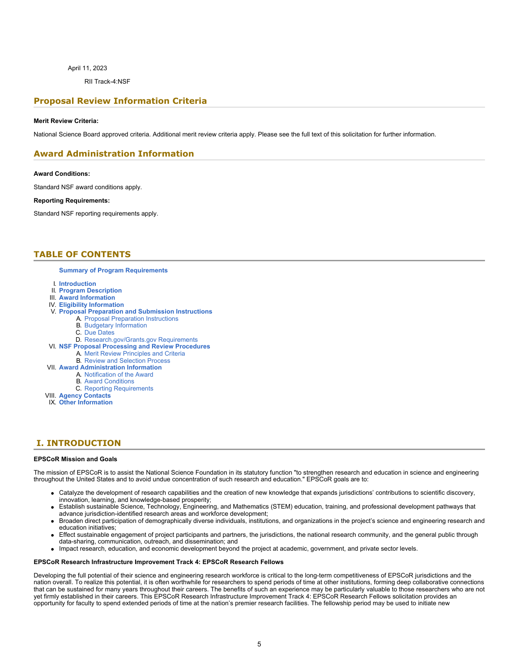April 11, 2023

RII Track-4:NSF

# **Proposal Review Information Criteria**

#### **Merit Review Criteria:**

National Science Board approved criteria. Additional merit review criteria apply. Please see the full text of this solicitation for further information.

# **Award Administration Information**

#### **Award Conditions:**

Standard NSF award conditions apply.

#### **Reporting Requirements:**

Standard NSF reporting requirements apply.

# <span id="page-4-0"></span>**TABLE OF CONTENTS**

#### **[Summary of Program Requirements](#page-0-0)**

- I. **[Introduction](#page-4-1)**
- II. **[Program Description](#page-5-0)**
- III. **[Award Information](#page-8-0)**
- IV. **[Eligibility Information](#page-8-1)**
- V. **[Proposal Preparation and Submission Instructions](#page-9-0)**
	- A. [Proposal Preparation Instructions](#page-9-0)
	- B. [Budgetary Information](#page-11-0)
	- C. [Due Dates](#page-12-0)
	- D. [Research.gov/Grants.gov Requirements](#page-12-1)
- VI. **[NSF Proposal Processing and Review Procedures](#page-13-0)**
	- A. [Merit Review Principles and Criteria](#page-13-1)
	- B. [Review and Selection Process](#page-14-0)
- VII. **[Award Administration Information](#page-14-1)**
	- A. [Notification of the Award](#page-14-2)
		- B. [Award Conditions](#page-15-0)
	- C. [Reporting Requirements](#page-15-1)
- VIII. **[Agency Contacts](#page-15-2)**
- IX. **[Other Information](#page-16-0)**

### <span id="page-4-1"></span>**I. INTRODUCTION**

#### **EPSCoR Mission and Goals**

The mission of EPSCoR is to assist the National Science Foundation in its statutory function "to strengthen research and education in science and engineering throughout the United States and to avoid undue concentration of such research and education." EPSCoR goals are to:

- Catalyze the development of research capabilities and the creation of new knowledge that expands jurisdictions' contributions to scientific discovery, innovation, learning, and knowledge-based prosperity;
- Establish sustainable Science, Technology, Engineering, and Mathematics (STEM) education, training, and professional development pathways that advance jurisdiction-identified research areas and workforce development;
- Broaden direct participation of demographically diverse individuals, institutions, and organizations in the project's science and engineering research and education initiatives;
- Effect sustainable engagement of project participants and partners, the jurisdictions, the national research community, and the general public through data-sharing, communication, outreach, and dissemination; and
- Impact research, education, and economic development beyond the project at academic, government, and private sector levels.

#### **EPSCoR Research Infrastructure Improvement Track 4: EPSCoR Research Fellows**

Developing the full potential of their science and engineering research workforce is critical to the long-term competitiveness of EPSCoR jurisdictions and the nation overall. To realize this potential, it is often worthwhile for researchers to spend periods of time at other institutions, forming deep collaborative connections that can be sustained for many years throughout their careers. The benefits of such an experience may be particularly valuable to those researchers who are not yet firmly established in their careers. This EPSCoR Research Infrastructure Improvement Track 4: EPSCoR Research Fellows solicitation provides an opportunity for faculty to spend extended periods of time at the nation's premier research facilities. The fellowship period may be used to initiate new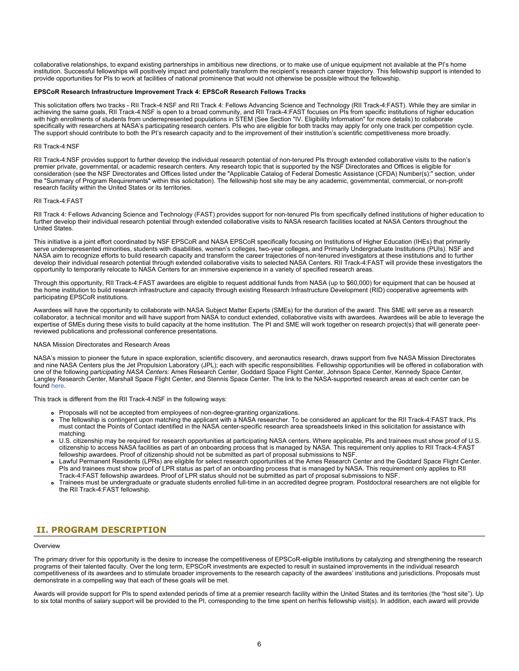collaborative relationships, to expand existing partnerships in ambitious new directions, or to make use of unique equipment not available at the PI's home institution. Successful fellowships will positively impact and potentially transform the recipient's research career trajectory. This fellowship support is intended to provide opportunities for PIs to work at facilities of national prominence that would not otherwise be possible without the fellowship.

#### **EPSCoR Research Infrastructure Improvement Track 4: EPSCoR Research Fellows Tracks**

This solicitation offers two tracks - RII Track-4:NSF and RII Track 4: Fellows Advancing Science and Technology (RII Track-4:FAST). While they are similar in achieving the same goals, RII Track-4:NSF is open to a broad community, and RII Track-4:FAST focuses on PIs from specific institutions of higher education with high enrollments of students from underrepresented populations in STEM (See Section "IV. Eligibility Information" for more details) to collaborate specifically with researchers at NASA's participating research centers. PIs who are eligible for both tracks may apply for only one track per competition cycle. The support should contribute to both the PI's research capacity and to the improvement of their institution's scientific competitiveness more broadly.

#### RII Track-4:NSF

RII Track-4:NSF provides support to further develop the individual research potential of non-tenured PIs through extended collaborative visits to the nation's premier private, governmental, or academic research centers. Any research topic that is supported by the NSF Directorates and Offices is eligible for consideration (see the NSF Directorates and Offices listed under the "Applicable Catalog of Federal Domestic Assistance (CFDA) Number(s):" section, under the "Summary of Program Requirements" within this solicitation). The fellowship host site may be any academic, governmental, commercial, or non-profit research facility within the United States or its territories.

#### RII Track-4:FAST

RII Track 4: Fellows Advancing Science and Technology (FAST) provides support for non-tenured PIs from specifically defined institutions of higher education to further develop their individual research potential through extended collaborative visits to NASA research facilities located at NASA Centers throughout the United States.

This initiative is a joint effort coordinated by NSF EPSCoR and NASA EPSCoR specifically focusing on Institutions of Higher Education (IHEs) that primarily serve underrepresented minorities, students with disabilities, women's colleges, two-year colleges, and Primarily Undergraduate Institutions (PUIs). NSF and NASA aim to recognize efforts to build research capacity and transform the career trajectories of non-tenured investigators at these institutions and to further develop their individual research potential through extended collaborative visits to selected NASA Centers. RII Track-4:FAST will provide these investigators the opportunity to temporarily relocate to NASA Centers for an immersive experience in a variety of specified research areas.

Through this opportunity, RII Track-4:FAST awardees are eligible to request additional funds from NASA (up to \$60,000) for equipment that can be housed at the home institution to build research infrastructure and capacity through existing Research Infrastructure Development (RID) cooperative agreements with participating EPSCoR institutions.

Awardees will have the opportunity to collaborate with NASA Subject Matter Experts (SMEs) for the duration of the award. This SME will serve as a research collaborator, a technical monitor and will have support from NASA to conduct extended, collaborative visits with awardees. Awardees will be able to leverage the expertise of SMEs during these visits to build capacity at the home institution. The PI and SME will work together on research project(s) that will generate peerreviewed publications and professional conference presentations.

#### NASA Mission Directorates and Research Areas

NASA's mission to pioneer the future in space exploration, scientific discovery, and aeronautics research, draws support from five NASA Mission Directorates and nine NASA Centers plus the Jet Propulsion Laboratory (JPL); each with specific responsibilities. Fellowship opportunities will be offered in collaboration with one of the following part*icipating NASA Centers:* Ames Research Center, Goddard Space Flight Center, Johnson Space Center, Kennedy Space Center, Langley Research Center, Marshall Space Flight Center, and Stennis Space Center. The link to the NASA-supported research areas at each center can be found [here](https://www.nsf.gov/cgi-bin/goodbye?https://docs.google.com/spreadsheets/d/1G9gsBGlgVIWxElFF7v04XG4gV13RWvrQsyOhnbqmeXI/edit?usp=sharing).

This track is different from the RII Track-4:NSF in the following ways:

- Proposals will not be accepted from employees of non-degree-granting organizations.
- The fellowship is contingent upon matching the applicant with a NASA researcher. To be considered an applicant for the RII Track-4:FAST track, PIs must contact the Points of Contact identified in the NASA center-specific research area spreadsheets linked in this solicitation for assistance with matching.
- U.S. citizenship may be required for research opportunities at participating NASA centers. Where applicable, PIs and trainees must show proof of U.S. citizenship to access NASA facilities as part of an onboarding process that is managed by NASA. This requirement only applies to RII Track-4:FAST fellowship awardees. Proof of citizenship should not be submitted as part of proposal submissions to NSF.
- Lawful Permanent Residents (LPRs) are eligible for select research opportunities at the Ames Research Center and the Goddard Space Flight Center. PIs and trainees must show proof of LPR status as part of an onboarding process that is managed by NASA. This requirement only applies to RII Track-4:FAST fellowship awardees. Proof of LPR status should not be submitted as part of proposal submissions to NSF.
- Trainees must be undergraduate or graduate students enrolled full-time in an accredited degree program. Postdoctoral researchers are not eligible for the RII Track-4:FAST fellowship.

# <span id="page-5-0"></span>**II. PROGRAM DESCRIPTION**

#### **Overview**

The primary driver for this opportunity is the desire to increase the competitiveness of EPSCoR-eligible institutions by catalyzing and strengthening the research programs of their talented faculty. Over the long term, EPSCoR investments are expected to result in sustained improvements in the individual research competitiveness of its awardees and to stimulate broader improvements to the research capacity of the awardees' institutions and jurisdictions. Proposals must demonstrate in a compelling way that each of these goals will be met.

Awards will provide support for PIs to spend extended periods of time at a premier research facility within the United States and its territories (the "host site"). Up to six total months of salary support will be provided to the PI, corresponding to the time spent on her/his fellowship visit(s). In addition, each award will provide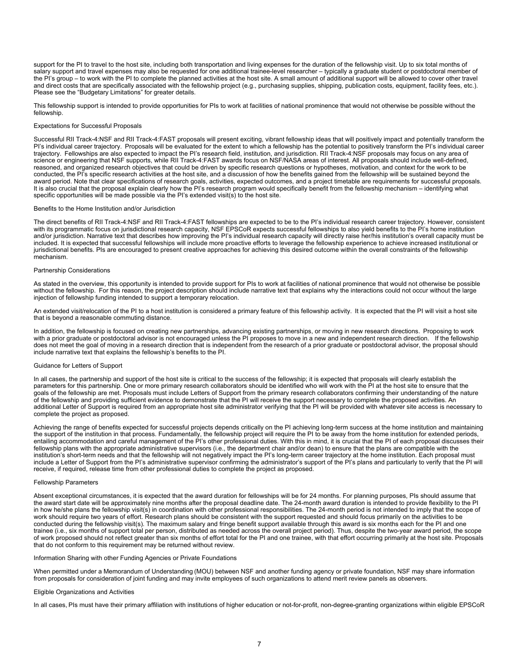support for the PI to travel to the host site, including both transportation and living expenses for the duration of the fellowship visit. Up to six total months of salary support and travel expenses may also be requested for one additional trainee-level researcher – typically a graduate student or postdoctoral member of the PI's group – to work with the PI to complete the planned activities at the host site. A small amount of additional support will be allowed to cover other travel and direct costs that are specifically associated with the fellowship project (e.g., purchasing supplies, shipping, publication costs, equipment, facility fees, etc.). Please see the "Budgetary Limitations" for greater details.

This fellowship support is intended to provide opportunities for PIs to work at facilities of national prominence that would not otherwise be possible without the fellowship.

#### Expectations for Successful Proposals

Successful RII Track-4:NSF and RII Track-4:FAST proposals will present exciting, vibrant fellowship ideas that will positively impact and potentially transform the PI's individual career trajectory. Proposals will be evaluated for the extent to which a fellowship has the potential to positively transform the PI's individual career trajectory. Fellowships are also expected to impact the PI's research field, institution, and jurisdiction. RII Track-4:NSF proposals may focus on any area of science or engineering that NSF supports, while RII Track-4:FAST awards focus on NSF/NASA areas of interest. All proposals should include well-defined, reasoned, and organized research objectives that could be driven by specific research questions or hypotheses, motivation, and context for the work to be conducted, the PI's specific research activities at the host site, and a discussion of how the benefits gained from the fellowship will be sustained beyond the award period. Note that clear specifications of research goals, activities, expected outcomes, and a project timetable are requirements for successful proposals. It is also crucial that the proposal explain clearly how the PI's research program would specifically benefit from the fellowship mechanism – identifying what specific opportunities will be made possible via the PI's extended visit(s) to the host site.

#### Benefits to the Home Institution and/or Jurisdiction

The direct benefits of RII Track-4:NSF and RII Track-4:FAST fellowships are expected to be to the PI's individual research career trajectory. However, consistent with its programmatic focus on jurisdictional research capacity, NSF EPSCoR expects successful fellowships to also yield benefits to the PI's home institution and/or jurisdiction. Narrative text that describes how improving the PI's individual research capacity will directly raise her/his institution's overall capacity must be included. It is expected that successful fellowships will include more proactive efforts to leverage the fellowship experience to achieve increased institutional or jurisdictional benefits. PIs are encouraged to present creative approaches for achieving this desired outcome within the overall constraints of the fellowship mechanism.

#### Partnership Considerations

As stated in the overview, this opportunity is intended to provide support for PIs to work at facilities of national prominence that would not otherwise be possible without the fellowship. For this reason, the project description should include narrative text that explains why the interactions could not occur without the large injection of fellowship funding intended to support a temporary relocation.

An extended visit/relocation of the PI to a host institution is considered a primary feature of this fellowship activity. It is expected that the PI will visit a host site that is beyond a reasonable commuting distance.

In addition, the fellowship is focused on creating new partnerships, advancing existing partnerships, or moving in new research directions. Proposing to work with a prior graduate or postdoctoral advisor is not encouraged unless the PI proposes to move in a new and independent research direction. If the fellowship does not meet the goal of moving in a research direction that is independent from the research of a prior graduate or postdoctoral advisor, the proposal should include narrative text that explains the fellowship's benefits to the PI.

#### Guidance for Letters of Support

In all cases, the partnership and support of the host site is critical to the success of the fellowship; it is expected that proposals will clearly establish the parameters for this partnership. One or more primary research collaborators should be identified who will work with the PI at the host site to ensure that the goals of the fellowship are met. Proposals must include Letters of Support from the primary research collaborators confirming their understanding of the nature of the fellowship and providing sufficient evidence to demonstrate that the PI will receive the support necessary to complete the proposed activities. An additional Letter of Support is required from an appropriate host site administrator verifying that the PI will be provided with whatever site access is necessary to complete the project as proposed.

Achieving the range of benefits expected for successful projects depends critically on the PI achieving long-term success at the home institution and maintaining the support of the institution in that process. Fundamentally, the fellowship project will require the PI to be away from the home institution for extended periods, entailing accommodation and careful management of the PI's other professional duties. With this in mind, it is crucial that the PI of each proposal discusses their fellowship plans with the appropriate administrative supervisors (i.e., the department chair and/or dean) to ensure that the plans are compatible with the institution's short-term needs and that the fellowship will not negatively impact the PI's long-term career trajectory at the home institution. Each proposal must include a Letter of Support from the PI's administrative supervisor confirming the administrator's support of the PI's plans and particularly to verify that the PI will receive, if required, release time from other professional duties to complete the project as proposed.

#### Fellowship Parameters

Absent exceptional circumstances, it is expected that the award duration for fellowships will be for 24 months. For planning purposes, PIs should assume that the award start date will be approximately nine months after the proposal deadline date. The 24-month award duration is intended to provide flexibility to the PI in how he/she plans the fellowship visit(s) in coordination with other professional responsibilities. The 24-month period is not intended to imply that the scope of work should require two years of effort. Research plans should be consistent with the support requested and should focus primarily on the activities to be conducted during the fellowship visit(s). The maximum salary and fringe benefit support available through this award is six months each for the PI and one trainee (i.e., six months of support total per person, distributed as needed across the overall project period). Thus, despite the two-year award period, the scope of work proposed should not reflect greater than six months of effort total for the PI and one trainee, with that effort occurring primarily at the host site. Proposals that do not conform to this requirement may be returned without review.

#### Information Sharing with other Funding Agencies or Private Foundations

When permitted under a Memorandum of Understanding (MOU) between NSF and another funding agency or private foundation, NSF may share information from proposals for consideration of joint funding and may invite employees of such organizations to attend merit review panels as observers.

#### Eligible Organizations and Activities

In all cases, PIs must have their primary affiliation with institutions of higher education or not-for-profit, non-degree-granting organizations within eligible EPSCoR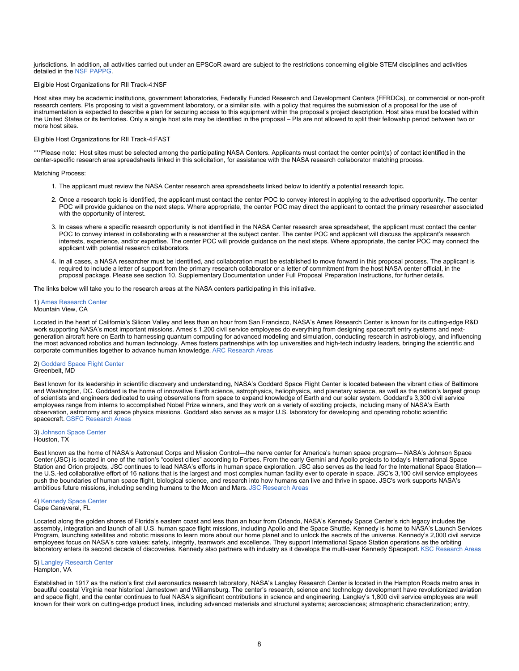jurisdictions. In addition, all activities carried out under an EPSCoR award are subject to the restrictions concerning eligible STEM disciplines and activities detailed in the [NSF PAPPG.](https://www.nsf.gov/publications/pub_summ.jsp?ods_key=pappg)

Eligible Host Organizations for RII Track-4:NSF

Host sites may be academic institutions, government laboratories, Federally Funded Research and Development Centers (FFRDCs), or commercial or non-profit research centers. PIs proposing to visit a government laboratory, or a similar site, with a policy that requires the submission of a proposal for the use of instrumentation is expected to describe a plan for securing access to this equipment within the proposal's project description. Host sites must be located within the United States or its territories. Only a single host site may be identified in the proposal – PIs are not allowed to split their fellowship period between two or more host sites.

#### Eligible Host Organizations for RII Track-4:FAST

\*\*\*Please note: Host sites must be selected among the participating NASA Centers. Applicants must contact the center point(s) of contact identified in the center-specific research area spreadsheets linked in this solicitation, for assistance with the NASA research collaborator matching process.

#### Matching Process:

- 1. The applicant must review the NASA Center research area spreadsheets linked below to identify a potential research topic.
- 2. Once a research topic is identified, the applicant must contact the center POC to convey interest in applying to the advertised opportunity. The center POC will provide guidance on the next steps. Where appropriate, the center POC may direct the applicant to contact the primary researcher associated with the opportunity of interest.
- 3. In cases where a specific research opportunity is not identified in the NASA Center research area spreadsheet, the applicant must contact the center POC to convey interest in collaborating with a researcher at the subject center. The center POC and applicant will discuss the applicant's research interests, experience, and/or expertise. The center POC will provide guidance on the next steps. Where appropriate, the center POC may connect the applicant with potential research collaborators.
- 4. In all cases, a NASA researcher must be identified, and collaboration must be established to move forward in this proposal process. The applicant is required to include a letter of support from the primary research collaborator or a letter of commitment from the host NASA center official, in the proposal package. Please see section 10. Supplementary Documentation under Full Proposal Preparation Instructions, for further details.

The links below will take you to the research areas at the NASA centers participating in this initiative.

#### 1) [Ames Research Center](https://www.nasa.gov/ames) Mountain View, CA

Located in the heart of California's Silicon Valley and less than an hour from San Francisco, NASA's Ames Research Center is known for its cutting-edge R&D work supporting NASA's most important missions. Ames's 1,200 civil service employees do everything from designing spacecraft entry systems and nextgeneration aircraft here on Earth to harnessing quantum computing for advanced modeling and simulation, conducting research in astrobiology, and influencing the most advanced robotics and human technology. Ames fosters partnerships with top universities and high-tech industry leaders, bringing the scientific and corporate communities together to advance human knowledge. [ARC Research Areas](https://www.nsf.gov/cgi-bin/goodbye?https://docs.google.com/spreadsheets/d/1G9gsBGlgVIWxElFF7v04XG4gV13RWvrQsyOhnbqmeXI/edit#gid=650665312)

#### 2) [Goddard Space Flight Center](https://www.nasa.gov/goddard) Greenbelt, MD

Best known for its leadership in scientific discovery and understanding, NASA's Goddard Space Flight Center is located between the vibrant cities of Baltimore and Washington, DC. Goddard is the home of innovative Earth science, astrophysics, heliophysics, and planetary science, as well as the nation's largest group of scientists and engineers dedicated to using observations from space to expand knowledge of Earth and our solar system. Goddard's 3,300 civil service employees range from interns to accomplished Nobel Prize winners, and they work on a variety of exciting projects, including many of NASA's Earth observation, astronomy and space physics missions. Goddard also serves as a major U.S. laboratory for developing and operating robotic scientific spacecraft. [GSFC Research Areas](https://www.nsf.gov/cgi-bin/goodbye?https://docs.google.com/spreadsheets/d/1G9gsBGlgVIWxElFF7v04XG4gV13RWvrQsyOhnbqmeXI/edit?usp=sharing)

#### 3) [Johnson Space Center](https://www.nasa.gov/centers/johnson/home/index.html) Houston, TX

Best known as the home of NASA's Astronaut Corps and Mission Control—the nerve center for America's human space program— NASA's Johnson Space Center (JSC) is located in one of the nation's "coolest cities" according to Forbes. From the early Gemini and Apollo projects to today's International Space Station and Orion projects, JSC continues to lead NASA's efforts in human space exploration. JSC also serves as the lead for the International Space Station the U.S.-led collaborative effort of 16 nations that is the largest and most complex human facility ever to operate in space. JSC's 3,100 civil service employees push the boundaries of human space flight, biological science, and research into how humans can live and thrive in space. JSC's work supports NASA's ambitious future missions, including sending humans to the Moon and Mars. [JSC Research Areas](https://www.nsf.gov/cgi-bin/goodbye?https://docs.google.com/spreadsheets/d/1G9gsBGlgVIWxElFF7v04XG4gV13RWvrQsyOhnbqmeXI/edit#gid=650665312)

4) [Kennedy Space Center](https://www.nasa.gov/centers/kennedy/home/index.html) Cape Canaveral, FL

Located along the golden shores of Florida's eastern coast and less than an hour from Orlando, NASA's Kennedy Space Center's rich legacy includes the assembly, integration and launch of all U.S. human space flight missions, including Apollo and the Space Shuttle. Kennedy is home to NASA's Launch Services Program, launching satellites and robotic missions to learn more about our home planet and to unlock the secrets of the universe. Kennedy's 2,000 civil service employees focus on NASA's core values: safety, integrity, teamwork and excellence. They support International Space Station operations as the orbiting laboratory enters its second decade of discoveries. Kennedy also partners with industry as it develops the multi-user Kennedy Spaceport. [KSC Research Areas](https://www.nsf.gov/cgi-bin/goodbye?https://docs.google.com/spreadsheets/d/1G9gsBGlgVIWxElFF7v04XG4gV13RWvrQsyOhnbqmeXI/edit#gid=650665312)

#### 5) [Langley Research Center](https://www.nasa.gov/langley) Hampton, VA

Established in 1917 as the nation's first civil aeronautics research laboratory, NASA's Langley Research Center is located in the Hampton Roads metro area in beautiful coastal Virginia near historical Jamestown and Williamsburg. The center's research, science and technology development have revolutionized aviation and space flight, and the center continues to fuel NASA's significant contributions in science and engineering. Langley's 1,800 civil service employees are well known for their work on cutting-edge product lines, including advanced materials and structural systems; aerosciences; atmospheric characterization; entry,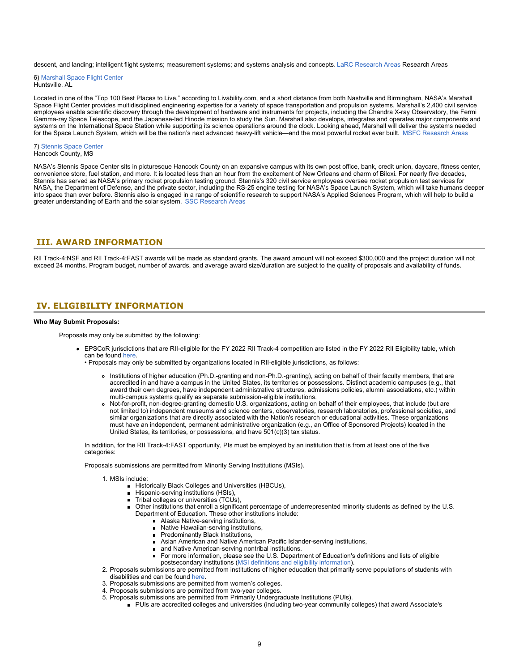descent, and landing; intelligent flight systems; measurement systems; and systems analysis and concepts. [LaRC Research Areas](https://www.nsf.gov/cgi-bin/goodbye?https://docs.google.com/spreadsheets/d/1G9gsBGlgVIWxElFF7v04XG4gV13RWvrQsyOhnbqmeXI/edit#gid=650665312) Research Areas

6) [Marshall Space Flight Center](https://www.nasa.gov/centers/marshall/home/index.html)  Huntsville, AL

Located in one of the "Top 100 Best Places to Live," according to Livability.com, and a short distance from both Nashville and Birmingham, NASA's Marshall Space Flight Center provides multidisciplined engineering expertise for a variety of space transportation and propulsion systems. Marshall's 2,400 civil service employees enable scientific discovery through the development of hardware and instruments for projects, including the Chandra X-ray Observatory, the Fermi Gamma-ray Space Telescope, and the Japanese-led Hinode mission to study the Sun. Marshall also develops, integrates and operates major components and systems on the International Space Station while supporting its science operations around the clock. Looking ahead, Marshall will deliver the systems needed for the Space Launch System, which will be the nation's next advanced heavy-lift vehicle—and the most powerful rocket ever built. [MSFC Research Areas](https://www.nsf.gov/cgi-bin/goodbye?https://docs.google.com/spreadsheets/d/1G9gsBGlgVIWxElFF7v04XG4gV13RWvrQsyOhnbqmeXI/edit#gid=650665312)

#### 7) [Stennis Space Center](https://www.nasa.gov/centers/stennis/home/index.html)  Hancock County, MS

NASA's Stennis Space Center sits in picturesque Hancock County on an expansive campus with its own post office, bank, credit union, daycare, fitness center, convenience store, fuel station, and more. It is located less than an hour from the excitement of New Orleans and charm of Biloxi. For nearly five decades, Stennis has served as NASA's primary rocket propulsion testing ground. Stennis's 320 civil service employees oversee rocket propulsion test services for NASA, the Department of Defense, and the private sector, including the RS-25 engine testing for NASA's Space Launch System, which will take humans deeper into space than ever before. Stennis also is engaged in a range of scientific research to support NASA's Applied Sciences Program, which will help to build a greater understanding of Earth and the solar system. [SSC Research Areas](https://www.nsf.gov/cgi-bin/goodbye?https://docs.google.com/spreadsheets/d/1G9gsBGlgVIWxElFF7v04XG4gV13RWvrQsyOhnbqmeXI/edit#gid=650665312)

# <span id="page-8-0"></span>**III. AWARD INFORMATION**

RII Track-4:NSF and RII Track-4:FAST awards will be made as standard grants. The award amount will not exceed \$300,000 and the project duration will not exceed 24 months. Program budget, number of awards, and average award size/duration are subject to the quality of proposals and availability of funds.

# <span id="page-8-1"></span>**IV. ELIGIBILITY INFORMATION**

#### **Who May Submit Proposals:**

Proposals may only be submitted by the following:

EPSCoR jurisdictions that are RII-eligible for the FY 2022 RII Track-4 competition are listed in the FY 2022 RII Eligibility table, which can be found [here](https://www.nsf.gov/od/oia/programs/epscor/Eligibility_Tables/FY2022_Eligibility.pdf).

• Proposals may only be submitted by organizations located in RII-eligible jurisdictions, as follows:

- Institutions of higher education (Ph.D.-granting and non-Ph.D.-granting), acting on behalf of their faculty members, that are accredited in and have a campus in the United States, its territories or possessions. Distinct academic campuses (e.g., that award their own degrees, have independent administrative structures, admissions policies, alumni associations, etc.) within multi-campus systems qualify as separate submission-eligible institutions.
- Not-for-profit, non-degree-granting domestic U.S. organizations, acting on behalf of their employees, that include (but are not limited to) independent museums and science centers, observatories, research laboratories, professional societies, and similar organizations that are directly associated with the Nation's research or educational activities. These organizations must have an independent, permanent administrative organization (e.g., an Office of Sponsored Projects) located in the United States, its territories, or possessions, and have 501(c)(3) tax status.

In addition, for the RII Track-4:FAST opportunity, PIs must be employed by an institution that is from at least one of the five categories:

Proposals submissions are permitted from Minority Serving Institutions (MSIs).

- 1. MSIs include:
	- Historically Black Colleges and Universities (HBCUs),
	- Hispanic-serving institutions (HSIs),  $\blacksquare$
	- Tribal colleges or universities (TCUs),
	- Other institutions that enroll a significant percentage of underrepresented minority students as defined by the U.S. Department of Education. These other institutions include:
		- **Alaska Native-serving institutions,**
		- **Native Hawaiian-serving institutions,**
		- **Predominantly Black Institutions,**
		- Asian American and Native American Pacific Islander-serving institutions,
		- **and Native American-serving nontribal institutions.**
		- For more information, please see the U.S. Department of Education's definitions and lists of eligible postsecondary institutions ([MSI definitions and eligibility information](https://www2.ed.gov/about/offices/list/ocr/edlite-minorityinst.html)).
- 2. Proposals submissions are permitted from institutions of higher education that primarily serve populations of students with disabilities and can be found [here](https://www.nsf.gov/od/broadeningparticipation/nsf_frameworkforaction_0808.pdf).
- 3. Proposals submissions are permitted from women's colleges.
- 4. Proposals submissions are permitted from two-year colleges.
- 5. Proposals submissions are permitted from Primarily Undergraduate Institutions (PUIs).
	- PUIs are accredited colleges and universities (including two-year community colleges) that award Associate's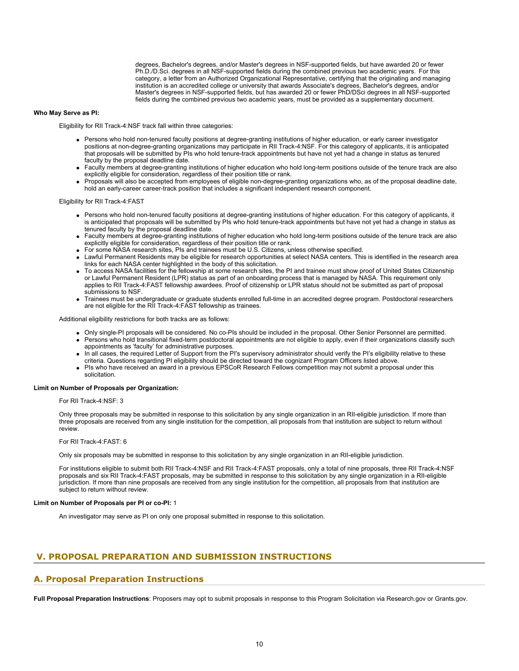degrees, Bachelor's degrees, and/or Master's degrees in NSF-supported fields, but have awarded 20 or fewer Ph.D./D.Sci. degrees in all NSF-supported fields during the combined previous two academic years. For this category, a letter from an Authorized Organizational Representative, certifying that the originating and managing institution is an accredited college or university that awards Associate's degrees, Bachelor's degrees, and/or Master's degrees in NSF-supported fields, but has awarded 20 or fewer PhD/DSci degrees in all NSF-supported fields during the combined previous two academic years, must be provided as a supplementary document.

#### **Who May Serve as PI:**

Eligibility for RII Track-4:NSF track fall within three categories:

- Persons who hold non-tenured faculty positions at degree-granting institutions of higher education, or early career investigator positions at non-degree-granting organizations may participate in RII Track-4:NSF. For this category of applicants, it is anticipated that proposals will be submitted by PIs who hold tenure-track appointments but have not yet had a change in status as tenured faculty by the proposal deadline date.
- Faculty members at degree-granting institutions of higher education who hold long-term positions outside of the tenure track are also explicitly eligible for consideration, regardless of their position title or rank.
- Proposals will also be accepted from employees of eligible non-degree-granting organizations who, as of the proposal deadline date, hold an early-career career-track position that includes a significant independent research component.

Eligibility for RII Track-4:FAST

- Persons who hold non-tenured faculty positions at degree-granting institutions of higher education. For this category of applicants, it is anticipated that proposals will be submitted by PIs who hold tenure-track appointments but have not yet had a change in status as tenured faculty by the proposal deadline date.
- Faculty members at degree-granting institutions of higher education who hold long-term positions outside of the tenure track are also explicitly eligible for consideration, regardless of their position title or rank.
- For some NASA research sites, PIs and trainees must be U.S. Citizens, unless otherwise specified.
- Lawful Permanent Residents may be eligible for research opportunities at select NASA centers. This is identified in the research area links for each NASA center highlighted in the body of this solicitation.
- To access NASA facilities for the fellowship at some research sites, the PI and trainee must show proof of United States Citizenship or Lawful Permanent Resident (LPR) status as part of an onboarding process that is managed by NASA. This requirement only applies to RII Track-4:FAST fellowship awardees. Proof of citizenship or LPR status should not be submitted as part of proposal submissions to NSF.
- Trainees must be undergraduate or graduate students enrolled full-time in an accredited degree program. Postdoctoral researchers are not eligible for the RII Track-4:FAST fellowship as trainees.

Additional eligibility restrictions for both tracks are as follows:

- Only single-PI proposals will be considered. No co-PIs should be included in the proposal. Other Senior Personnel are permitted.
- Persons who hold transitional fixed-term postdoctoral appointments are not eligible to apply, even if their organizations classify such appointments as 'faculty' for administrative purposes.
- . In all cases, the required Letter of Support from the PI's supervisory administrator should verify the PI's eligibility relative to these criteria. Questions regarding PI eligibility should be directed toward the cognizant Program Officers listed above.
- PIs who have received an award in a previous EPSCoR Research Fellows competition may not submit a proposal under this solicitation.

#### **Limit on Number of Proposals per Organization:**

For RII Track-4:NSF: 3

Only three proposals may be submitted in response to this solicitation by any single organization in an RII-eligible jurisdiction. If more than three proposals are received from any single institution for the competition, all proposals from that institution are subject to return without review.

For RII Track-4:FAST: 6

Only six proposals may be submitted in response to this solicitation by any single organization in an RII-eligible jurisdiction.

For institutions eligible to submit both RII Track-4:NSF and RII Track-4:FAST proposals, only a total of nine proposals, three RII Track-4:NSF proposals and six RII Track-4:FAST proposals, may be submitted in response to this solicitation by any single organization in a RII-eligible jurisdiction. If more than nine proposals are received from any single institution for the competition, all proposals from that institution are subject to return without review.

#### **Limit on Number of Proposals per PI or co-PI:** 1

An investigator may serve as PI on only one proposal submitted in response to this solicitation.

# <span id="page-9-0"></span>**V. PROPOSAL PREPARATION AND SUBMISSION INSTRUCTIONS**

### **A. Proposal Preparation Instructions**

**Full Proposal Preparation Instructions**: Proposers may opt to submit proposals in response to this Program Solicitation via Research.gov or Grants.gov.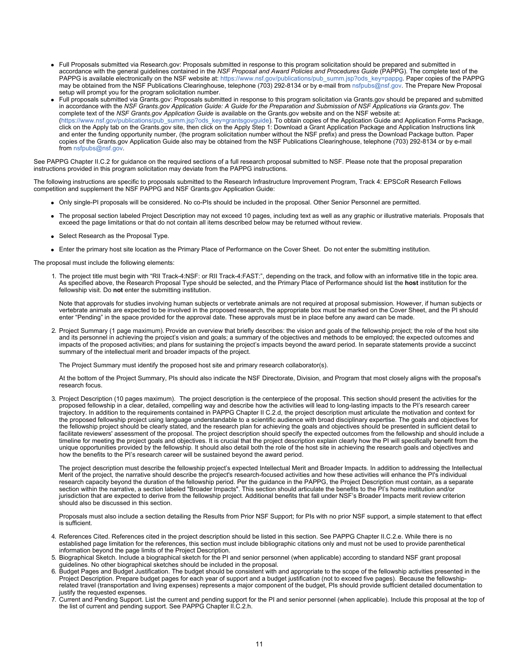- Full Proposals submitted via Research.gov: Proposals submitted in response to this program solicitation should be prepared and submitted in accordance with the general guidelines contained in the *NSF Proposal and Award Policies and Procedures Guide* (PAPPG). The complete text of the PAPPG is available electronically on the NSF website at: [https://www.nsf.gov/publications/pub\\_summ.jsp?ods\\_key=pappg](https://www.nsf.gov/publications/pub_summ.jsp?ods_key=pappg). Paper copies of the PAPPG may be obtained from the NSF Publications Clearinghouse, telephone (703) 292-8134 or by e-mail from [nsfpubs@nsf.gov.](mailto:nsfpubs@nsf.gov) The Prepare New Proposal setup will prompt you for the program solicitation number.
- Full proposals submitted via Grants.gov: Proposals submitted in response to this program solicitation via Grants.gov should be prepared and submitted in accordance with the *NSF Grants.gov Application Guide: A Guide for the Preparation and Submission of NSF Applications via Grants.gov*. The complete text of the *NSF Grants.gov Application Guide* is available on the Grants.gov website and on the NSF website at: [\(https://www.nsf.gov/publications/pub\\_summ.jsp?ods\\_key=grantsgovguide](https://www.nsf.gov/publications/pub_summ.jsp?ods_key=grantsgovguide)). To obtain copies of the Application Guide and Application Forms Package, click on the Apply tab on the Grants.gov site, then click on the Apply Step 1: Download a Grant Application Package and Application Instructions link and enter the funding opportunity number, (the program solicitation number without the NSF prefix) and press the Download Package button. Paper copies of the Grants.gov Application Guide also may be obtained from the NSF Publications Clearinghouse, telephone (703) 292-8134 or by e-mail from [nsfpubs@nsf.gov](mailto:nsfpubs@nsf.gov).

See PAPPG Chapter II.C.2 for quidance on the required sections of a full research proposal submitted to NSF. Please note that the proposal preparation instructions provided in this program solicitation may deviate from the PAPPG instructions.

The following instructions are specific to proposals submitted to the Research Infrastructure Improvement Program, Track 4: EPSCoR Research Fellows competition and supplement the NSF PAPPG and NSF Grants.gov Application Guide:

- Only single-PI proposals will be considered. No co-PIs should be included in the proposal. Other Senior Personnel are permitted.
- The proposal section labeled Project Description may not exceed 10 pages, including text as well as any graphic or illustrative materials. Proposals that exceed the page limitations or that do not contain all items described below may be returned without review.
- Select Research as the Proposal Type.
- Enter the primary host site location as the Primary Place of Performance on the Cover Sheet. Do not enter the submitting institution.

The proposal must include the following elements:

1. The project title must begin with "RII Track-4:NSF: or RII Track-4:FAST:", depending on the track, and follow with an informative title in the topic area. As specified above, the Research Proposal Type should be selected, and the Primary Place of Performance should list the **host** institution for the fellowship visit. Do **not** enter the submitting institution.

Note that approvals for studies involving human subjects or vertebrate animals are not required at proposal submission. However, if human subjects or vertebrate animals are expected to be involved in the proposed research, the appropriate box must be marked on the Cover Sheet, and the PI should enter "Pending" in the space provided for the approval date. These approvals must be in place before any award can be made.

2. Project Summary (1 page maximum). Provide an overview that briefly describes: the vision and goals of the fellowship project; the role of the host site and its personnel in achieving the project's vision and goals; a summary of the objectives and methods to be employed; the expected outcomes and impacts of the proposed activities; and plans for sustaining the project's impacts beyond the award period. In separate statements provide a succinct summary of the intellectual merit and broader impacts of the project.

The Project Summary must identify the proposed host site and primary research collaborator(s).

At the bottom of the Project Summary, PIs should also indicate the NSF Directorate, Division, and Program that most closely aligns with the proposal's research focus.

3. Project Description (10 pages maximum).   The project description is the centerpiece of the proposal. This section should present the activities for the proposed fellowship in a clear, detailed, compelling way and describe how the activities will lead to long-lasting impacts to the PI's research career trajectory. In addition to the requirements contained in PAPPG Chapter II C.2.d, the project description must articulate the motivation and context for the proposed fellowship project using language understandable to a scientific audience with broad disciplinary expertise. The goals and objectives for the fellowship project should be clearly stated, and the research plan for achieving the goals and objectives should be presented in sufficient detail to facilitate reviewers' assessment of the proposal. The project description should specify the expected outcomes from the fellowship and should include a timeline for meeting the project goals and objectives. It is crucial that the project description explain clearly how the PI will specifically benefit from the unique opportunities provided by the fellowship. It should also detail both the role of the host site in achieving the research goals and objectives and how the benefits to the PI's research career will be sustained beyond the award period.

The project description must describe the fellowship project's expected Intellectual Merit and Broader Impacts. In addition to addressing the Intellectual Merit of the project, the narrative should describe the project's research-focused activities and how these activities will enhance the PI's individual research capacity beyond the duration of the fellowship period. Per the guidance in the PAPPG, the Project Description must contain, as a separate section within the narrative, a section labeled "Broader Impacts". This section should articulate the benefits to the PI's home institution and/or jurisdiction that are expected to derive from the fellowship project. Additional benefits that fall under NSF's Broader Impacts merit review criterion should also be discussed in this section.

Proposals must also include a section detailing the Results from Prior NSF Support; for PIs with no prior NSF support, a simple statement to that effect is sufficient.

- 4. References Cited. References cited in the project description should be listed in this section. See PAPPG Chapter II.C.2.e. While there is no established page limitation for the references, this section must include bibliographic citations only and must not be used to provide parenthetical information beyond the page limits of the Project Description.
- 5. Biographical Sketch. Include a biographical sketch for the PI and senior personnel (when applicable) according to standard NSF grant proposal guidelines. No other biographical sketches should be included in the proposal.
- 6. Budget Pages and Budget Justification. The budget should be consistent with and appropriate to the scope of the fellowship activities presented in the Project Description. Prepare budget pages for each year of support and a budget justification (not to exceed five pages). Because the fellowshiprelated travel (transportation and living expenses) represents a major component of the budget, PIs should provide sufficient detailed documentation to justify the requested expenses.
- 7. Current and Pending Support. List the current and pending support for the PI and senior personnel (when applicable). Include this proposal at the top of the list of current and pending support. See PAPPG Chapter II.C.2.h.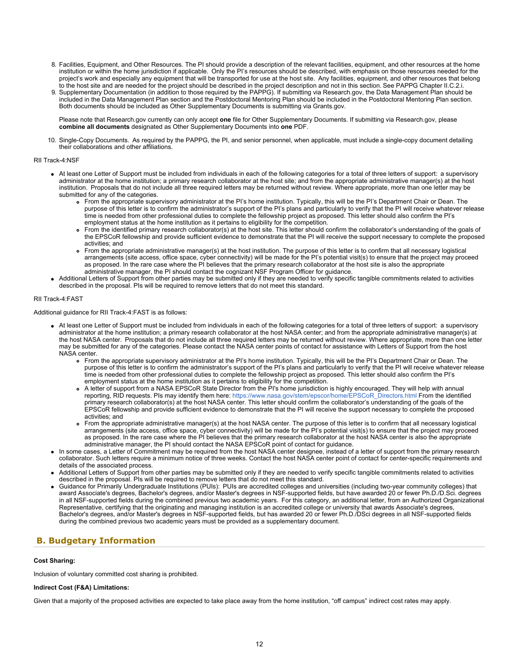- 8. Facilities, Equipment, and Other Resources. The PI should provide a description of the relevant facilities, equipment, and other resources at the home institution or within the home jurisdiction if applicable. Only the PI's resources should be described, with emphasis on those resources needed for the project's work and especially any equipment that will be transported for use at the host site. Any facilities, equipment, and other resources that belong to the host site and are needed for the project should be described in the project description and not in this section. See PAPPG Chapter II.C.2.i.
- 9. Supplementary Documentation (in addition to those required by the PAPPG). If submitting via Research.gov, the Data Management Plan should be included in the Data Management Plan section and the Postdoctoral Mentoring Plan should be included in the Postdoctoral Mentoring Plan section. Both documents should be included as Other Supplementary Documents is submitting via Grants.gov.

Please note that Research.gov currently can only accept **one** file for Other Supplementary Documents. If submitting via Research.gov, please **combine all documents** designated as Other Supplementary Documents into **one** PDF.

10. Single-Copy Documents. As required by the PAPPG, the PI, and senior personnel, when applicable, must include a single-copy document detailing their collaborations and other affiliations.

#### RII Track-4:NSF

- At least one Letter of Support must be included from individuals in each of the following categories for a total of three letters of support: a supervisory administrator at the home institution; a primary research collaborator at the host site; and from the appropriate administrative manager(s) at the host institution. Proposals that do not include all three required letters may be returned without review. Where appropriate, more than one letter may be submitted for any of the categories.
	- From the appropriate supervisory administrator at the PI's home institution. Typically, this will be the PI's Department Chair or Dean. The purpose of this letter is to confirm the administrator's support of the PI's plans and particularly to verify that the PI will receive whatever release time is needed from other professional duties to complete the fellowship project as proposed. This letter should also confirm the PI's employment status at the home institution as it pertains to eligibility for the competition.
	- From the identified primary research collaborator(s) at the host site. This letter should confirm the collaborator's understanding of the goals of the EPSCoR fellowship and provide sufficient evidence to demonstrate that the PI will receive the support necessary to complete the proposed activities; and
	- From the appropriate administrative manager(s) at the host institution. The purpose of this letter is to confirm that all necessary logistical arrangements (site access, office space, cyber connectivity) will be made for the PI's potential visit(s) to ensure that the project may proceed as proposed. In the rare case where the PI believes that the primary research collaborator at the host site is also the appropriate administrative manager, the PI should contact the cognizant NSF Program Officer for guidance.
- Additional Letters of Support from other parties may be submitted only if they are needed to verify specific tangible commitments related to activities described in the proposal. PIs will be required to remove letters that do not meet this standard.

#### RII Track-4:FAST

Additional guidance for RII Track-4:FAST is as follows:

- At least one Letter of Support must be included from individuals in each of the following categories for a total of three letters of support: a supervisory administrator at the home institution; a primary research collaborator at the host NASA center; and from the appropriate administrative manager(s) at the host NASA center. Proposals that do not include all three required letters may be returned without review. Where appropriate, more than one letter may be submitted for any of the categories. Please contact the NASA center points of contact for assistance with Letters of Support from the host NASA center.
	- From the appropriate supervisory administrator at the PI's home institution. Typically, this will be the PI's Department Chair or Dean. The purpose of this letter is to confirm the administrator's support of the PI's plans and particularly to verify that the PI will receive whatever release time is needed from other professional duties to complete the fellowship project as proposed. This letter should also confirm the PI's employment status at the home institution as it pertains to eligibility for the competition.
	- A letter of support from a NASA EPSCoR State Director from the PI's home jurisdiction is highly encouraged. They will help with annual reporting, RID requests. PIs may identify them here: [https://www.nasa.gov/stem/epscor/home/EPSCoR\\_Directors.html](https://www.nasa.gov/stem/epscor/home/EPSCoR_Directors.html) From the identified primary research collaborator(s) at the host NASA center. This letter should confirm the collaborator's understanding of the goals of the EPSCoR fellowship and provide sufficient evidence to demonstrate that the PI will receive the support necessary to complete the proposed activities; and
	- From the appropriate administrative manager(s) at the host NASA center. The purpose of this letter is to confirm that all necessary logistical arrangements (site access, office space, cyber connectivity) will be made for the PI's potential visit(s) to ensure that the project may proceed as proposed. In the rare case where the PI believes that the primary research collaborator at the host NASA center is also the appropriate administrative manager, the PI should contact the NASA EPSCoR point of contact for guidance.
- In some cases, a Letter of Commitment may be required from the host NASA center designee, instead of a letter of support from the primary research collaborator. Such letters require a minimum notice of three weeks. Contact the host NASA center point of contact for center-specific requirements and details of the associated process.
- Additional Letters of Support from other parties may be submitted only if they are needed to verify specific tangible commitments related to activities described in the proposal. PIs will be required to remove letters that do not meet this standard.
- Guidance for Primarily Undergraduate Institutions (PUIs): PUIs are accredited colleges and universities (including two-year community colleges) that award Associate's degrees, Bachelor's degrees, and/or Master's degrees in NSF-supported fields, but have awarded 20 or fewer Ph.D./D.Sci. degrees in all NSF-supported fields during the combined previous two academic years. For this category, an additional letter, from an Authorized Organizational Representative, certifying that the originating and managing institution is an accredited college or university that awards Associate's degrees, Bachelor's degrees, and/or Master's degrees in NSF-supported fields, but has awarded 20 or fewer Ph.D./DSci degrees in all NSF-supported fields during the combined previous two academic years must be provided as a supplementary document.

# <span id="page-11-0"></span>**B. Budgetary Information**

#### **Cost Sharing:**

Inclusion of voluntary committed cost sharing is prohibited.

#### **Indirect Cost (F&A) Limitations:**

Given that a majority of the proposed activities are expected to take place away from the home institution, "off campus" indirect cost rates may apply.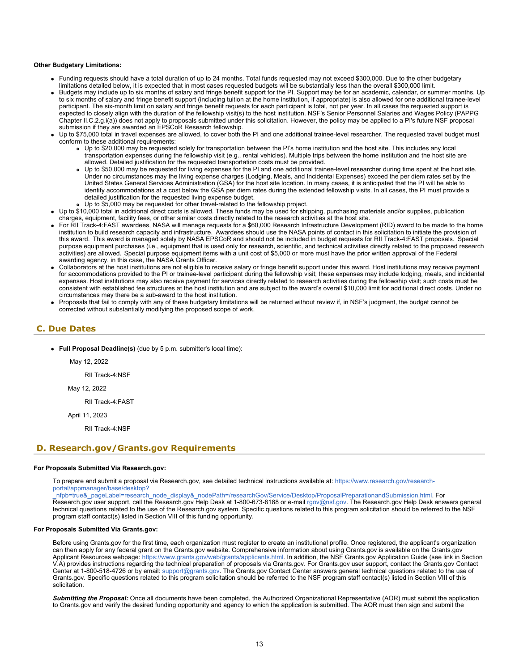#### <span id="page-12-0"></span>**Other Budgetary Limitations:**

- Funding requests should have a total duration of up to 24 months. Total funds requested may not exceed \$300,000. Due to the other budgetary limitations detailed below, it is expected that in most cases requested budgets will be substantially less than the overall \$300,000 limit.
- Budgets may include up to six months of salary and fringe benefit support for the PI. Support may be for an academic, calendar, or summer months. Up to six months of salary and fringe benefit support (including tuition at the home institution, if appropriate) is also allowed for one additional trainee-level participant. The six-month limit on salary and fringe benefit requests for each participant is total, not per year. In all cases the requested support is expected to closely align with the duration of the fellowship visit(s) to the host institution. NSF's Senior Personnel Salaries and Wages Policy (PAPPG Chapter II.C.2.g.i(a)) does not apply to proposals submitted under this solicitation. However, the policy may be applied to a PI's future NSF proposal submission if they are awarded an EPSCoR Research fellowship.
- Up to \$75,000 total in travel expenses are allowed, to cover both the PI and one additional trainee-level researcher. The requested travel budget must conform to these additional requirements:
	- Up to \$20,000 may be requested solely for transportation between the PI's home institution and the host site. This includes any local transportation expenses during the fellowship visit (e.g., rental vehicles). Multiple trips between the home institution and the host site are allowed. Detailed justification for the requested transportation costs must be provided.
	- Up to \$50,000 may be requested for living expenses for the PI and one additional trainee-level researcher during time spent at the host site. Under no circumstances may the living expense charges (Lodging, Meals, and Incidental Expenses) exceed the per diem rates set by the United States General Services Administration (GSA) for the host site location. In many cases, it is anticipated that the PI will be able to identify accommodations at a cost below the GSA per diem rates during the extended fellowship visits. In all cases, the PI must provide a detailed justification for the requested living expense budget.
	- Up to \$5,000 may be requested for other travel-related to the fellowship project.
- Up to \$10,000 total in additional direct costs is allowed. These funds may be used for shipping, purchasing materials and/or supplies, publication charges, equipment, facility fees, or other similar costs directly related to the research activities at the host site.
- For RII Track-4:FAST awardees, NASA will manage requests for a \$60,000 Research Infrastructure Development (RID) award to be made to the home institution to build research capacity and infrastructure. Awardees should use the NASA points of contact in this solicitation to initiate the provision of this award. This award is managed solely by NASA EPSCoR and should not be included in budget requests for RII Track-4:FAST proposals. Special purpose equipment purchases (i.e., equipment that is used only for research, scientific, and technical activities directly related to the proposed research activities) are allowed.  Special purpose equipment items with a unit cost of \$5,000 or more must have the prior written approval of the Federal awarding agency, in this case, the NASA Grants Officer.
- Collaborators at the host institutions are not eligible to receive salary or fringe benefit support under this award. Host institutions may receive payment for accommodations provided to the PI or trainee-level participant during the fellowship visit; these expenses may include lodging, meals, and incidental expenses. Host institutions may also receive payment for services directly related to research activities during the fellowship visit; such costs must be consistent with established fee structures at the host institution and are subject to the award's overall \$10,000 limit for additional direct costs. Under no circumstances may there be a sub-award to the host institution.
- Proposals that fail to comply with any of these budgetary limitations will be returned without review if, in NSF's judgment, the budget cannot be corrected without substantially modifying the proposed scope of work.

### **C. Due Dates**

**Full Proposal Deadline(s)** (due by 5 p.m. submitter's local time):

May 12, 2022

RII Track-4:NSF

May 12, 2022

RII Track-4:FAST

April 11, 2023

RII Track-4:NSF

### <span id="page-12-1"></span>**D. Research.gov/Grants.gov Requirements**

#### **For Proposals Submitted Via Research.gov:**

To prepare and submit a proposal via Research.gov, see detailed technical instructions available at: [https://www.research.gov/research](https://www.research.gov/research-portal/appmanager/base/desktop?_nfpb=true&_pageLabel=research_node_display&_nodePath=/researchGov/Service/Desktop/ProposalPreparationandSubmission.html)[portal/appmanager/base/desktop?](https://www.research.gov/research-portal/appmanager/base/desktop?_nfpb=true&_pageLabel=research_node_display&_nodePath=/researchGov/Service/Desktop/ProposalPreparationandSubmission.html)

[\\_nfpb=true&\\_pageLabel=research\\_node\\_display&\\_nodePath=/researchGov/Service/Desktop/ProposalPreparationandSubmission.html](https://www.research.gov/research-portal/appmanager/base/desktop?_nfpb=true&_pageLabel=research_node_display&_nodePath=/researchGov/Service/Desktop/ProposalPreparationandSubmission.html). For Research.gov user support, call the Research.gov Help Desk at 1-800-673-6188 or e-mail [rgov@nsf.gov](mailto:rgov@nsf.gov). The Research.gov Help Desk answers general technical questions related to the use of the Research.gov system. Specific questions related to this program solicitation should be referred to the NSF program staff contact(s) listed in Section VIII of this funding opportunity.

#### **For Proposals Submitted Via Grants.gov:**

Before using Grants.gov for the first time, each organization must register to create an institutional profile. Once registered, the applicant's organization can then apply for any federal grant on the Grants.gov website. Comprehensive information about using Grants.gov is available on the Grants.gov Applicant Resources webpage:<https://www.grants.gov/web/grants/applicants.html>. In addition, the NSF Grants.gov Application Guide (see link in Section V.A) provides instructions regarding the technical preparation of proposals via Grants.gov. For Grants.gov user support, contact the Grants.gov Contact Center at 1-800-518-4726 or by email: [support@grants.gov](mailto:support@grants.gov). The Grants.gov Contact Center answers general technical questions related to the use of Grants.gov. Specific questions related to this program solicitation should be referred to the NSF program staff contact(s) listed in Section VIII of this solicitation.

*Submitting the Proposal:* Once all documents have been completed, the Authorized Organizational Representative (AOR) must submit the application to Grants.gov and verify the desired funding opportunity and agency to which the application is submitted. The AOR must then sign and submit the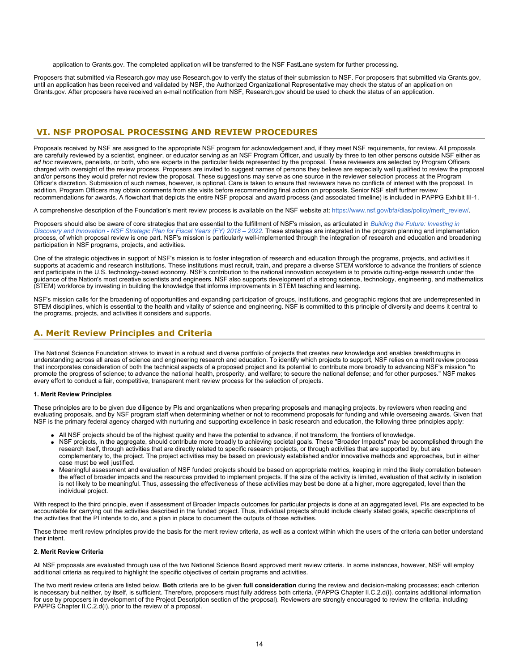application to Grants.gov. The completed application will be transferred to the NSF FastLane system for further processing.

Proposers that submitted via Research.gov may use Research.gov to verify the status of their submission to NSF. For proposers that submitted via Grants.gov, until an application has been received and validated by NSF, the Authorized Organizational Representative may check the status of an application on Grants.gov. After proposers have received an e-mail notification from NSF, Research.gov should be used to check the status of an application.

# <span id="page-13-0"></span>**VI. NSF PROPOSAL PROCESSING AND REVIEW PROCEDURES**

Proposals received by NSF are assigned to the appropriate NSF program for acknowledgement and, if they meet NSF requirements, for review. All proposals are carefully reviewed by a scientist, engineer, or educator serving as an NSF Program Officer, and usually by three to ten other persons outside NSF either as *ad hoc* reviewers, panelists, or both, who are experts in the particular fields represented by the proposal. These reviewers are selected by Program Officers charged with oversight of the review process. Proposers are invited to suggest names of persons they believe are especially well qualified to review the proposal and/or persons they would prefer not review the proposal. These suggestions may serve as one source in the reviewer selection process at the Program Officer's discretion. Submission of such names, however, is optional. Care is taken to ensure that reviewers have no conflicts of interest with the proposal. In addition, Program Officers may obtain comments from site visits before recommending final action on proposals. Senior NSF staff further review recommendations for awards. A flowchart that depicts the entire NSF proposal and award process (and associated timeline) is included in PAPPG Exhibit III-1.

A comprehensive description of the Foundation's merit review process is available on the NSF website at: [https://www.nsf.gov/bfa/dias/policy/merit\\_review/](https://www.nsf.gov/bfa/dias/policy/merit_review/).

Proposers should also be aware of core strategies that are essential to the fulfillment of NSF's mission, as articulated in *[Building the Future: Investing in](https://www.nsf.gov/publications/pub_summ.jsp?ods_key=nsf18045) [Discovery and Innovation - NSF Strategic Plan for Fiscal Years \(FY\) 2018 – 2022](https://www.nsf.gov/publications/pub_summ.jsp?ods_key=nsf18045)*. These strategies are integrated in the program planning and implementation process, of which proposal review is one part. NSF's mission is particularly well-implemented through the integration of research and education and broadening participation in NSF programs, projects, and activities.

One of the strategic objectives in support of NSF's mission is to foster integration of research and education through the programs, projects, and activities it supports at academic and research institutions. These institutions must recruit, train, and prepare a diverse STEM workforce to advance the frontiers of science and participate in the U.S. technology-based economy. NSF's contribution to the national innovation ecosystem is to provide cutting-edge research under the guidance of the Nation's most creative scientists and engineers. NSF also supports development of a strong science, technology, engineering, and mathematics (STEM) workforce by investing in building the knowledge that informs improvements in STEM teaching and learning.

NSF's mission calls for the broadening of opportunities and expanding participation of groups, institutions, and geographic regions that are underrepresented in STEM disciplines, which is essential to the health and vitality of science and engineering. NSF is committed to this principle of diversity and deems it central to the programs, projects, and activities it considers and supports.

# <span id="page-13-1"></span>**A. Merit Review Principles and Criteria**

The National Science Foundation strives to invest in a robust and diverse portfolio of projects that creates new knowledge and enables breakthroughs in understanding across all areas of science and engineering research and education. To identify which projects to support, NSF relies on a merit review process that incorporates consideration of both the technical aspects of a proposed project and its potential to contribute more broadly to advancing NSF's mission "to promote the progress of science; to advance the national health, prosperity, and welfare; to secure the national defense; and for other purposes." NSF makes every effort to conduct a fair, competitive, transparent merit review process for the selection of projects.

#### **1. Merit Review Principles**

These principles are to be given due diligence by PIs and organizations when preparing proposals and managing projects, by reviewers when reading and evaluating proposals, and by NSF program staff when determining whether or not to recommend proposals for funding and while overseeing awards. Given that NSF is the primary federal agency charged with nurturing and supporting excellence in basic research and education, the following three principles apply:

- All NSF projects should be of the highest quality and have the potential to advance, if not transform, the frontiers of knowledge.
- NSF projects, in the aggregate, should contribute more broadly to achieving societal goals. These "Broader Impacts" may be accomplished through the research itself, through activities that are directly related to specific research projects, or through activities that are supported by, but are complementary to, the project. The project activities may be based on previously established and/or innovative methods and approaches, but in either case must be well justified.
- Meaningful assessment and evaluation of NSF funded projects should be based on appropriate metrics, keeping in mind the likely correlation between the effect of broader impacts and the resources provided to implement projects. If the size of the activity is limited, evaluation of that activity in isolation is not likely to be meaningful. Thus, assessing the effectiveness of these activities may best be done at a higher, more aggregated, level than the individual project.

With respect to the third principle, even if assessment of Broader Impacts outcomes for particular projects is done at an aggregated level, PIs are expected to be accountable for carrying out the activities described in the funded project. Thus, individual projects should include clearly stated goals, specific descriptions of the activities that the PI intends to do, and a plan in place to document the outputs of those activities.

These three merit review principles provide the basis for the merit review criteria, as well as a context within which the users of the criteria can better understand their intent.

#### **2. Merit Review Criteria**

All NSF proposals are evaluated through use of the two National Science Board approved merit review criteria. In some instances, however, NSF will employ additional criteria as required to highlight the specific objectives of certain programs and activities.

The two merit review criteria are listed below. **Both** criteria are to be given **full consideration** during the review and decision-making processes; each criterion is necessary but neither, by itself, is sufficient. Therefore, proposers must fully address both criteria. (PAPPG Chapter II.C.2.d(i). contains additional information for use by proposers in development of the Project Description section of the proposal). Reviewers are strongly encouraged to review the criteria, including PAPPG Chapter II.C.2.d(i), prior to the review of a proposal.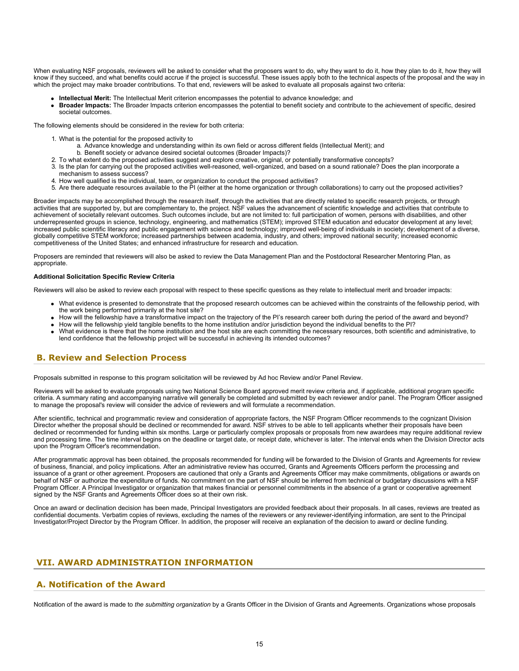When evaluating NSF proposals, reviewers will be asked to consider what the proposers want to do, why they want to do it, how they plan to do it, how they will know if they succeed, and what benefits could accrue if the project is successful. These issues apply both to the technical aspects of the proposal and the way in which the project may make broader contributions. To that end, reviewers will be asked to evaluate all proposals against two criteria:

- **Intellectual Merit:** The Intellectual Merit criterion encompasses the potential to advance knowledge; and
- **Broader Impacts:** The Broader Impacts criterion encompasses the potential to benefit society and contribute to the achievement of specific, desired societal outcomes.

The following elements should be considered in the review for both criteria:

- 1. What is the potential for the proposed activity to
	- a. Advance knowledge and understanding within its own field or across different fields (Intellectual Merit); and
	- b. Benefit society or advance desired societal outcomes (Broader Impacts)?
- 2. To what extent do the proposed activities suggest and explore creative, original, or potentially transformative concepts?
- 3. Is the plan for carrying out the proposed activities well-reasoned, well-organized, and based on a sound rationale? Does the plan incorporate a mechanism to assess success?
- 4. How well qualified is the individual, team, or organization to conduct the proposed activities?
- 5. Are there adequate resources available to the PI (either at the home organization or through collaborations) to carry out the proposed activities?

Broader impacts may be accomplished through the research itself, through the activities that are directly related to specific research projects, or through activities that are supported by, but are complementary to, the project. NSF values the advancement of scientific knowledge and activities that contribute to achievement of societally relevant outcomes. Such outcomes include, but are not limited to: full participation of women, persons with disabilities, and other underrepresented groups in science, technology, engineering, and mathematics (STEM); improved STEM education and educator development at any level; increased public scientific literacy and public engagement with science and technology; improved well-being of individuals in society; development of a diverse, globally competitive STEM workforce; increased partnerships between academia, industry, and others; improved national security; increased economic competitiveness of the United States; and enhanced infrastructure for research and education.

Proposers are reminded that reviewers will also be asked to review the Data Management Plan and the Postdoctoral Researcher Mentoring Plan, as appropriate.

#### **Additional Solicitation Specific Review Criteria**

Reviewers will also be asked to review each proposal with respect to these specific questions as they relate to intellectual merit and broader impacts:

- What evidence is presented to demonstrate that the proposed research outcomes can be achieved within the constraints of the fellowship period, with the work being performed primarily at the host site?
- How will the fellowship have a transformative impact on the trajectory of the PI's research career both during the period of the award and beyond? • How will the fellowship yield tangible benefits to the home institution and/or jurisdiction beyond the individual benefits to the PI?
- What evidence is there that the home institution and the host site are each committing the necessary resources, both scientific and administrative, to lend confidence that the fellowship project will be successful in achieving its intended outcomes?

# <span id="page-14-0"></span>**B. Review and Selection Process**

Proposals submitted in response to this program solicitation will be reviewed by Ad hoc Review and/or Panel Review.

Reviewers will be asked to evaluate proposals using two National Science Board approved merit review criteria and, if applicable, additional program specific criteria. A summary rating and accompanying narrative will generally be completed and submitted by each reviewer and/or panel. The Program Officer assigned to manage the proposal's review will consider the advice of reviewers and will formulate a recommendation.

After scientific, technical and programmatic review and consideration of appropriate factors, the NSF Program Officer recommends to the cognizant Division Director whether the proposal should be declined or recommended for award. NSF strives to be able to tell applicants whether their proposals have been declined or recommended for funding within six months. Large or particularly complex proposals or proposals from new awardees may require additional review and processing time. The time interval begins on the deadline or target date, or receipt date, whichever is later. The interval ends when the Division Director acts upon the Program Officer's recommendation.

After programmatic approval has been obtained, the proposals recommended for funding will be forwarded to the Division of Grants and Agreements for review of business, financial, and policy implications. After an administrative review has occurred, Grants and Agreements Officers perform the processing and issuance of a grant or other agreement. Proposers are cautioned that only a Grants and Agreements Officer may make commitments, obligations or awards on behalf of NSF or authorize the expenditure of funds. No commitment on the part of NSF should be inferred from technical or budgetary discussions with a NSF Program Officer. A Principal Investigator or organization that makes financial or personnel commitments in the absence of a grant or cooperative agreement signed by the NSF Grants and Agreements Officer does so at their own risk.

Once an award or declination decision has been made, Principal Investigators are provided feedback about their proposals. In all cases, reviews are treated as confidential documents. Verbatim copies of reviews, excluding the names of the reviewers or any reviewer-identifying information, are sent to the Principal Investigator/Project Director by the Program Officer. In addition, the proposer will receive an explanation of the decision to award or decline funding.

### <span id="page-14-1"></span>**VII. AWARD ADMINISTRATION INFORMATION**

### <span id="page-14-2"></span>**A. Notification of the Award**

Notification of the award is made to *the submitting organization* by a Grants Officer in the Division of Grants and Agreements. Organizations whose proposals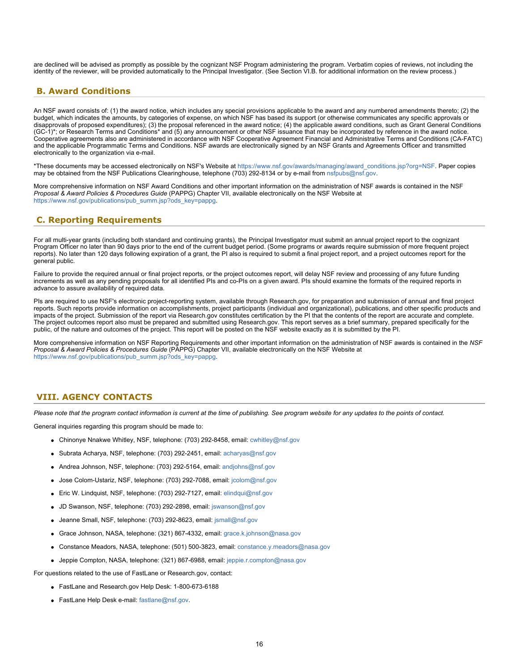are declined will be advised as promptly as possible by the cognizant NSF Program administering the program. Verbatim copies of reviews, not including the identity of the reviewer, will be provided automatically to the Principal Investigator. (See Section VI.B. for additional information on the review process.)

# <span id="page-15-0"></span>**B. Award Conditions**

An NSF award consists of: (1) the award notice, which includes any special provisions applicable to the award and any numbered amendments thereto; (2) the budget, which indicates the amounts, by categories of expense, on which NSF has based its support (or otherwise communicates any specific approvals or disapprovals of proposed expenditures); (3) the proposal referenced in the award notice; (4) the applicable award conditions, such as Grant General Conditions (GC-1)\*; or Research Terms and Conditions\* and (5) any announcement or other NSF issuance that may be incorporated by reference in the award notice. Cooperative agreements also are administered in accordance with NSF Cooperative Agreement Financial and Administrative Terms and Conditions (CA-FATC) and the applicable Programmatic Terms and Conditions. NSF awards are electronically signed by an NSF Grants and Agreements Officer and transmitted electronically to the organization via e-mail.

\*These documents may be accessed electronically on NSF's Website at [https://www.nsf.gov/awards/managing/award\\_conditions.jsp?org=NSF](https://www.nsf.gov/awards/managing/award_conditions.jsp?org=NSF). Paper copies may be obtained from the NSF Publications Clearinghouse, telephone (703) 292-8134 or by e-mail from [nsfpubs@nsf.gov.](mailto:nsfpubs@nsf.gov)

More comprehensive information on NSF Award Conditions and other important information on the administration of NSF awards is contained in the NSF *Proposal & Award Policies & Procedures Guide* (PAPPG) Chapter VII, available electronically on the NSF Website at [https://www.nsf.gov/publications/pub\\_summ.jsp?ods\\_key=pappg.](https://www.nsf.gov/publications/pub_summ.jsp?ods_key=pappg)

# <span id="page-15-1"></span>**C. Reporting Requirements**

For all multi-year grants (including both standard and continuing grants), the Principal Investigator must submit an annual project report to the cognizant Program Officer no later than 90 days prior to the end of the current budget period. (Some programs or awards require submission of more frequent project reports). No later than 120 days following expiration of a grant, the PI also is required to submit a final project report, and a project outcomes report for the general public.

Failure to provide the required annual or final project reports, or the project outcomes report, will delay NSF review and processing of any future funding increments as well as any pending proposals for all identified PIs and co-PIs on a given award. PIs should examine the formats of the required reports in advance to assure availability of required data.

PIs are required to use NSF's electronic project-reporting system, available through Research.gov, for preparation and submission of annual and final project reports. Such reports provide information on accomplishments, project participants (individual and organizational), publications, and other specific products and impacts of the project. Submission of the report via Research.gov constitutes certification by the PI that the contents of the report are accurate and complete. The project outcomes report also must be prepared and submitted using Research.gov. This report serves as a brief summary, prepared specifically for the public, of the nature and outcomes of the project. This report will be posted on the NSF website exactly as it is submitted by the PI.

More comprehensive information on NSF Reporting Requirements and other important information on the administration of NSF awards is contained in the *NSF Proposal & Award Policies & Procedures Guide* (PAPPG) Chapter VII, available electronically on the NSF Website at [https://www.nsf.gov/publications/pub\\_summ.jsp?ods\\_key=pappg.](https://www.nsf.gov/publications/pub_summ.jsp?ods_key=pappg)

# <span id="page-15-2"></span>**VIII. AGENCY CONTACTS**

*Please note that the program contact information is current at the time of publishing. See program website for any updates to the points of contact.*

General inquiries regarding this program should be made to:

- Chinonye Nnakwe Whitley, NSF, telephone: (703) 292-8458, email: [cwhitley@nsf.gov](mailto:cwhitley@nsf.gov)
- Subrata Acharya, NSF, telephone: (703) 292-2451, email: [acharyas@nsf.gov](mailto:acharyas@nsf.gov)
- Andrea Johnson, NSF, telephone: (703) 292-5164, email: [andjohns@nsf.gov](mailto:andjohns@nsf.gov)
- Jose Colom-Ustariz, NSF, telephone: (703) 292-7088, email: [jcolom@nsf.gov](mailto:jcolom@nsf.gov)
- Eric W. Lindquist, NSF, telephone: (703) 292-7127, email: [elindqui@nsf.gov](mailto:elindqui@nsf.gov)
- JD Swanson, NSF, telephone: (703) 292-2898, email: [jswanson@nsf.gov](mailto:jswanson@nsf.gov)
- Jeanne Small, NSF, telephone: (703) 292-8623, email: [jsmall@nsf.gov](mailto:jsmall@nsf.gov)
- Grace Johnson, NASA, telephone: (321) 867-4332, email: [grace.k.johnson@nasa.gov](mailto:grace.k.johnson@nasa.gov)
- Constance Meadors, NASA, telephone: (501) 500-3823, email: [constance.y.meadors@nasa.gov](mailto:constance.y.meadors@nasa.gov)
- Jeppie Compton, NASA, telephone: (321) 867-6988, email: [jeppie.r.compton@nasa.gov](mailto:jeppie.r.compton@nasa.gov)

For questions related to the use of FastLane or Research.gov, contact:

- FastLane and Research.gov Help Desk: 1-800-673-6188
- **FastLane Help Desk e-mail: [fastlane@nsf.gov](mailto:fastlane@nsf.gov).**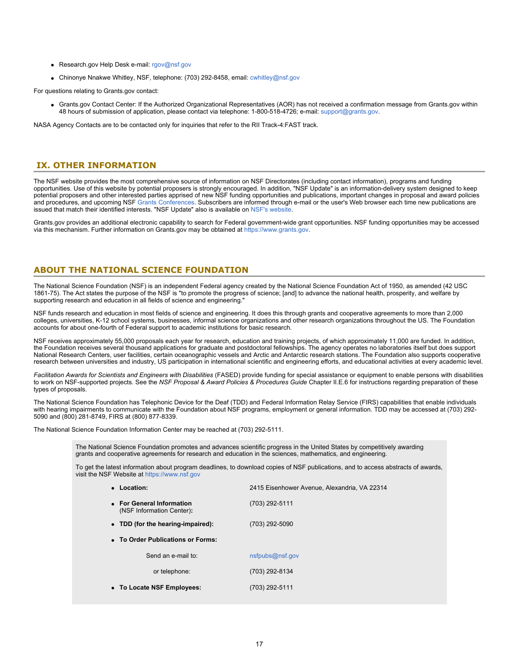- Research.gov Help Desk e-mail: [rgov@nsf.gov](mailto:rgov@nsf.gov)
- Chinonye Nnakwe Whitley, NSF, telephone: (703) 292-8458, email: [cwhitley@nsf.gov](mailto:cwhitley@nsf.gov)

For questions relating to Grants.gov contact:

Grants.gov Contact Center: If the Authorized Organizational Representatives (AOR) has not received a confirmation message from Grants.gov within 48 hours of submission of application, please contact via telephone: 1-800-518-4726; e-mail: [support@grants.gov](mailto:support@grants.gov).

NASA Agency Contacts are to be contacted only for inquiries that refer to the RII Track-4:FAST track.

### <span id="page-16-0"></span>**IX. OTHER INFORMATION**

The NSF website provides the most comprehensive source of information on NSF Directorates (including contact information), programs and funding opportunities. Use of this website by potential proposers is strongly encouraged. In addition, "NSF Update" is an information-delivery system designed to keep potential proposers and other interested parties apprised of new NSF funding opportunities and publications, important changes in proposal and award policies and procedures, and upcoming NSF [Grants Conferences](https://www.nsf.gov/bfa/dias/policy/outreach.jsp). Subscribers are informed through e-mail or the user's Web browser each time new publications are issued that match their identified interests. "NSF Update" also is available on [NSF's website](https://www.nsf.gov/cgi-bin/goodbye?https://public.govdelivery.com/accounts/USNSF/subscriber/new?topic_id=USNSF_179).

Grants.gov provides an additional electronic capability to search for Federal government-wide grant opportunities. NSF funding opportunities may be accessed via this mechanism. Further information on Grants.gov may be obtained at [https://www.grants.gov](https://www.grants.gov/).

### **ABOUT THE NATIONAL SCIENCE FOUNDATION**

The National Science Foundation (NSF) is an independent Federal agency created by the National Science Foundation Act of 1950, as amended (42 USC 1861-75). The Act states the purpose of the NSF is "to promote the progress of science; [and] to advance the national health, prosperity, and welfare by supporting research and education in all fields of science and engineering."

NSF funds research and education in most fields of science and engineering. It does this through grants and cooperative agreements to more than 2,000 colleges, universities, K-12 school systems, businesses, informal science organizations and other research organizations throughout the US. The Foundation accounts for about one-fourth of Federal support to academic institutions for basic research.

NSF receives approximately 55,000 proposals each year for research, education and training projects, of which approximately 11,000 are funded. In addition, the Foundation receives several thousand applications for graduate and postdoctoral fellowships. The agency operates no laboratories itself but does support National Research Centers, user facilities, certain oceanographic vessels and Arctic and Antarctic research stations. The Foundation also supports cooperative research between universities and industry, US participation in international scientific and engineering efforts, and educational activities at every academic level.

*Facilitation Awards for Scientists and Engineers with Disabilities* (FASED) provide funding for special assistance or equipment to enable persons with disabilities to work on NSF-supported projects. See the *NSF Proposal & Award Policies & Procedures Guide* Chapter II.E.6 for instructions regarding preparation of these types of proposals.

The National Science Foundation has Telephonic Device for the Deaf (TDD) and Federal Information Relay Service (FIRS) capabilities that enable individuals with hearing impairments to communicate with the Foundation about NSF programs, employment or general information. TDD may be accessed at (703) 292- 5090 and (800) 281-8749, FIRS at (800) 877-8339.

The National Science Foundation Information Center may be reached at (703) 292-5111.

The National Science Foundation promotes and advances scientific progress in the United States by competitively awarding grants and cooperative agreements for research and education in the sciences, mathematics, and engineering.

To get the latest information about program deadlines, to download copies of NSF publications, and to access abstracts of awards, visit the NSF Website at [https://www.nsf.gov](https://www.nsf.gov/)

| • Location:                                            | 2415 Eisenhower Avenue, Alexandria, VA 22314 |  |  |  |  |
|--------------------------------------------------------|----------------------------------------------|--|--|--|--|
| • For General Information<br>(NSF Information Center): | (703) 292-5111                               |  |  |  |  |
| • TDD (for the hearing-impaired):                      | (703) 292-5090                               |  |  |  |  |
| • To Order Publications or Forms:                      |                                              |  |  |  |  |
| Send an e-mail to:                                     | nsfpubs@nsf.gov                              |  |  |  |  |
| or telephone:                                          | (703) 292-8134                               |  |  |  |  |
| • To Locate NSF Employees:                             | (703) 292-5111                               |  |  |  |  |